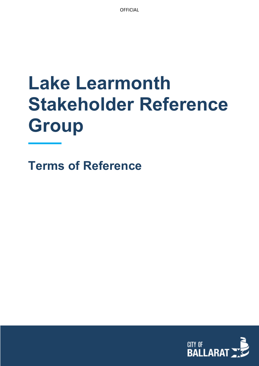**OFFICIAL** 

# **Lake Learmonth Stakeholder Reference Group**

**Terms of Reference**

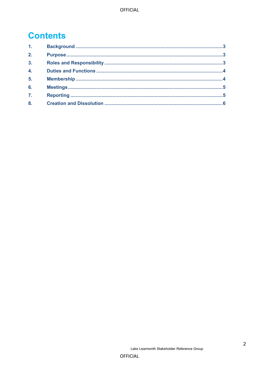## **Contents**

| 1 <sup>1</sup>   |  |
|------------------|--|
| 2.               |  |
| 3 <sub>1</sub>   |  |
| $\overline{4}$ . |  |
| 5 <sub>1</sub>   |  |
| 6.               |  |
| $\overline{7}$ . |  |
| 8.               |  |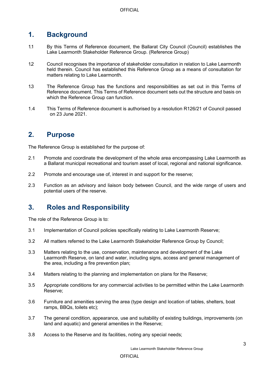#### <span id="page-2-0"></span>**1. Background**

- 1.1 By this Terms of Reference document, the Ballarat City Council (Council) establishes the Lake Learmonth Stakeholder Reference Group. (Reference Group)
- 1.2 Council recognises the importance of stakeholder consultation in relation to Lake Learmonth held therein. Council has established this Reference Group as a means of consultation for matters relating to Lake Learmonth.
- 1.3 The Reference Group has the functions and responsibilities as set out in this Terms of Reference document. This Terms of Reference document sets out the structure and basis on which the Reference Group can function.
- 1.4 This Terms of Reference document is authorised by a resolution R126/21 of Council passed on 23 June 2021.

#### <span id="page-2-1"></span>**2. Purpose**

The Reference Group is established for the purpose of:

- 2.1 Promote and coordinate the development of the whole area encompassing Lake Learmonth as a Ballarat municipal recreational and tourism asset of local, regional and national significance.
- 2.2 Promote and encourage use of, interest in and support for the reserve;
- 2.3 Function as an advisory and liaison body between Council, and the wide range of users and potential users of the reserve.

#### <span id="page-2-2"></span>**3. Roles and Responsibility**

The role of the Reference Group is to:

- 3.1 Implementation of Council policies specifically relating to Lake Learmonth Reserve;
- 3.2 All matters referred to the Lake Learmonth Stakeholder Reference Group by Council;
- 3.3 Matters relating to the use, conservation, maintenance and development of the Lake Learmonth Reserve, on land and water, including signs, access and general management of the area, including a fire prevention plan;
- 3.4 Matters relating to the planning and implementation on plans for the Reserve;
- 3.5 Appropriate conditions for any commercial activities to be permitted within the Lake Learmonth Reserve;
- 3.6 Furniture and amenities serving the area (type design and location of tables, shelters, boat ramps, BBQs, toilets etc);
- 3.7 The general condition, appearance, use and suitability of existing buildings, improvements (on land and aquatic) and general amenities in the Reserve;
- 3.8 Access to the Reserve and its facilities, noting any special needs;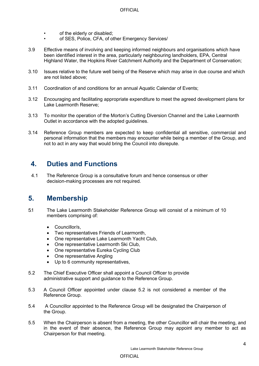- of the elderly or disabled;
- of SES, Police, CFA, of other Emergency Services/
- 3.9 Effective means of involving and keeping informed neighbours and organisations which have been identified interest in the area, particularly neighbouring landholders, EPA, Central Highland Water, the Hopkins River Catchment Authority and the Department of Conservation;
- 3.10 Issues relative to the future well being of the Reserve which may arise in due course and which are not listed above;
- 3.11 Coordination of and conditions for an annual Aquatic Calendar of Events;
- 3.12 Encouraging and facilitating appropriate expenditure to meet the agreed development plans for Lake Learmonth Reserve;
- 3.13 To monitor the operation of the Morton's Cutting Diversion Channel and the Lake Learmonth Outlet in accordance with the adopted guidelines.
- 3.14 Reference Group members are expected to keep confidential all sensitive, commercial and personal information that the members may encounter while being a member of the Group, and not to act in any way that would bring the Council into disrepute.

#### <span id="page-3-0"></span>**4. Duties and Functions**

4.1 The Reference Group is a consultative forum and hence consensus or other decision-making processes are not required.

#### <span id="page-3-1"></span>**5. Membership**

- 5.1 The Lake Learmonth Stakeholder Reference Group will consist of a minimum of 10 members comprising of:
	- Councillor/s,
	- Two representatives Friends of Learmonth,
	- One representative Lake Learmonth Yacht Club,
	- One representative Learmonth Ski Club,
	- One representative Eureka Cycling Club
	- One representative Angling
	- Up to 6 community representatives,
- 5.2 The Chief Executive Officer shall appoint a Council Officer to provide administrative support and guidance to the Reference Group.
- 5.3 A Council Officer appointed under clause 5.2 is not considered a member of the Reference Group.
- 5.4 A Councillor appointed to the Reference Group will be designated the Chairperson of the Group.
- 5.5 When the Chairperson is absent from a meeting, the other Councillor will chair the meeting, and in the event of their absence, the Reference Group may appoint any member to act as Chairperson for that meeting.

#### **OFFICIAL**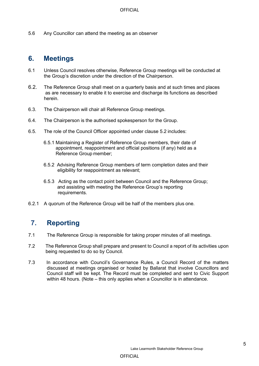5.6 Any Councillor can attend the meeting as an observer

#### <span id="page-4-0"></span>**6. Meetings**

- 6.1 Unless Council resolves otherwise, Reference Group meetings will be conducted at the Group's discretion under the direction of the Chairperson.
- 6.2. The Reference Group shall meet on a quarterly basis and at such times and places as are necessary to enable it to exercise and discharge its functions as described herein.
- 6.3. The Chairperson will chair all Reference Group meetings.
- 6.4. The Chairperson is the authorised spokesperson for the Group.
- 6.5. The role of the Council Officer appointed under clause 5.2 includes:
	- 6.5.1 Maintaining a Register of Reference Group members, their date of appointment, reappointment and official positions (if any) held as a Reference Group member;
	- 6.5.2 Advising Reference Group members of term completion dates and their eligibility for reappointment as relevant;
	- 6.5.3 Acting as the contact point between Council and the Reference Group; and assisting with meeting the Reference Group's reporting requirements.
- 6.2.1 A quorum of the Reference Group will be half of the members plus one.

#### <span id="page-4-1"></span>**7. Reporting**

- 7.1 The Reference Group is responsible for taking proper minutes of all meetings.
- 7.2 The Reference Group shall prepare and present to Council a report of its activities upon being requested to do so by Council.
- 7.3 In accordance with Council's Governance Rules, a Council Record of the matters discussed at meetings organised or hosted by Ballarat that involve Councillors and Council staff will be kept. The Record must be completed and sent to Civic Support within 48 hours. (Note – this only applies when a Councillor is in attendance.